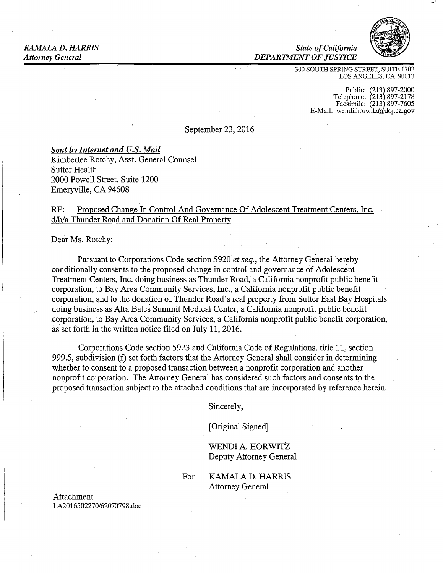### *KAMALA D. HARRIS State ofCalifornia Attorney General DEPARTMENT OF JUSTICE*



300 SOUTH SPRING STREET, SUITE 1702 LOS ANGELES, CA 90013

> Public: (213) 897-2000<br>Telephone: (213) 897-2178 Facsimile: 213 897-7605 E-Mail: [wendi.horwitz@doj.ca.gov](mailto:wendi.horwitz@doj.ca.gov)

September 23, 2016

### *Sent by Internet and U.S. Mail*

Kimberlee Rotchy, Asst. General Counsel Sutter Health 2000 Powell Street, Suite 1200 Emeryville, CA 94608

## RE: Proposed Change In Control And Governance Of Adolescent Treatment Centers, Inc. d/b/a Thunder Road and Donation Of Real Property

Dear Ms. Rotchy:

Pursuant to Corporations Code section 5920 *et seq.,* the Attorney General hereby conditionally consents to the proposed change in control and governance of Adolescent Treatment Centers, Inc. doing business as Thunder Road, a California nonprofit public benefit corporation, to Bay Area Community Services, Inc., a California nonprofit public benefit corporation, and to the donation of Thunder Road's real property from Sutter East Bay Hospitals doing business as Alta Bates Summit Medical Center, a California nonprofit public benefit corporation, to Bay Area Community Services, a California nonprofit public benefit corporation, as set forth in the written notice filed on July 11, 2016.

Corporations Code section 5923 and California Code of Regulations, title 11, section 999.5, subdivision  $(f)$  set forth factors that the Attorney General shall consider in determining whether to consent to a proposed transaction between a nonprofit corporation and another nonprofit corporation. The Attorney General has considered such factors and consents to the proposed transaction subject to the attached conditions that are incorporated by reference herein.

Sincerely,

[Original Signed]

WENDI A. HORWITZ Deputy Attorney General

For KAMALA D. HARRIS Attorney General

Attachment LA2016502270/62070798.doc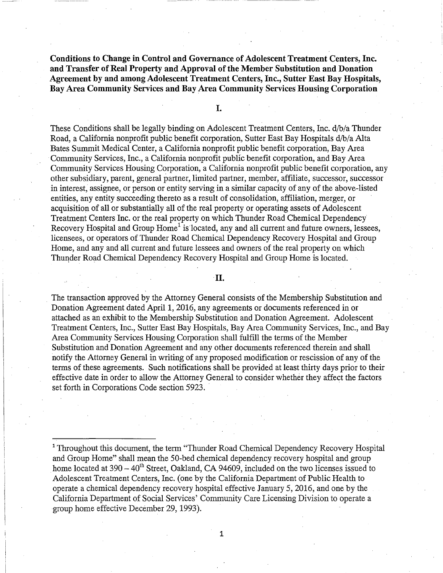**Conditions to Change in Control and Governance of Adolescent Treatment Centers, Inc. and Transfer of Real Property and Approval of the Member Substitution and Donation Agreement by and among Adolescent Treatment Centers, Inc., Sutter East Bay Hospitals, Bay Area Community Services and Bay Area Community Services Housing Corporation** 

I.

These Conditions shall be legally binding on Adolescent Treatment Centers, Inc. d/b/a Thunder Road, a California nonprofit public benefit corporation, Sutter East Bay Hospitals d/b/a Alta Bates Summit Medical Center, a California nonprofit public benefit corporation, Bay Area · Community Services, Inc., a California nonprofit public benefit corporation, and Bay Area Community Services Housing Corporation, a California nonprofit public benefit corporation, any other subsidiary, parent, general partner, limited partner, member, affiliate, successor, successor in interest, assignee, or person or entity serving in a similar capacity of any of the above-listed entities, any entity succeeding thereto as a result of consolidation, affiliation, merger, or acquisition of all or substantially all of the real property or operating assets of Adolescent Treatment Centers Inc. or the real property on which Thunder Road Chemical Dependency Recovery Hospital and Group  $Home<sup>1</sup>$  is located, any and all current and future owners, lessees, licensees, or operators of Thunder Road Chemical Dependency Recovery Hospital and Group Home, and any and all current and future lessees and owners of the real property on which Thunder Road Chemical Dependency Recovery Hospital and Group Home is located.

II.

. The transaction approved by the Attorney General consists of the Membership Substitution and Donation Agreement dated April 1, 2016, any agreements or documents referenced in or attached as an exhibit to the Membership Substitution and Donation Agreement. Adolescent Treatment Centers, Inc., Sutter East Bay Hospitals, Bay Area Community Services, Inc., and Bay Area Community Services Housing Corporation shall fulfill the terms of the Member Substitution and Donation Agreement and any other documents referenced therein and shall notify the Attorney General in writing of any proposed modification or rescission of any of the terms of these agreements. Such notifications shall be provided at least thirty days prior to their effective date in order to allow the Attorney General to consider whether they affect the factors set forth in Corporations Code section 5923.

1

<sup>&</sup>lt;sup>1</sup> Throughout this document, the term "Thunder Road Chemical Dependency Recovery Hospital and Group Home" shall mean the 50-bed chemical dependency recovery hospital and group home located at  $390-40^{th}$  Street, Oakland, CA 94609, included on the two licenses issued to Adolescent Treatment Centers, Inc. ( one by the California Department of Public Health to operate a chemical dependency recovery hospital effective January 5, 2016, and one by the California Department of Social Services' Community Care Licensing Division to operate a group home effective December 29, 1993).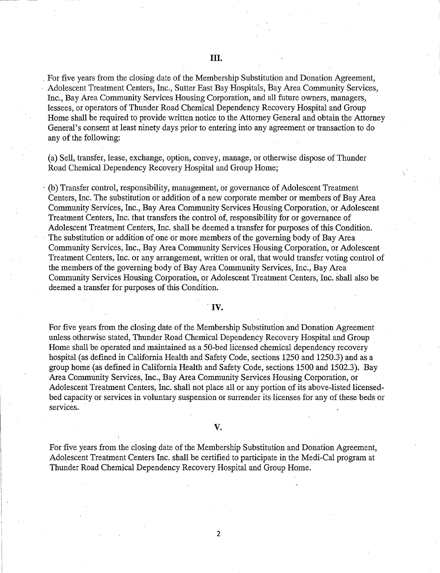. For five years from the closing date of the Membership Substitution and Donation Agreement, Adolescent Treatment Centers, Inc., Sutter East Bay Hospitals, Bay Area Community Services, Inc., Bay Area Community Services Housing Corporation, and all future owners, managers, lessees, or operators of Thunder Road Chemical Dependency Recovery Hospital and Group Home shall be required to provide written notice to the Attorney General and obtain the Attorney General's consent at least ninety days prior to entering into any agreement or transaction to do any of the following:

(a) Sell, transfer, lease, exchange, option, convey, manage, or otherwise dispose of Thunder Road Chemical Dependency Recovery Hospital and Group Home;

· (b) Transfer control, responsibility, management, or govemance of Adolescent Treatment Centers, Inc. The substitution or addition of a new corporate member or members of Bay Area Community Services, Inc., Bay Area Community Services Housing Corporation, or Adolescent Treatment Centers, Inc. that transfers the control of, responsibility for or governance of Adolescent Treatment Centers, Inc. shall be deemed a transfer for purposes of this Condition. The substitution or addition of one or more members of the governing body of Bay Area Community Services, Inc., Bay Area Community Services Housing Corporation, or Adolescent Treatment Centers, Inc. or any arrangement, written or oral, that would transfer voting control of the members of the governing body of Bay Area Community Services, Inc., Bay Area Community Services Housing Corporation, or Adolescent Treatment Centers, Inc. shall also be deemed a transfer for purposes of this Condition.

### . IV.

For five years from the closing date of the Membership Substitution and Donation Agreement unless otherwise stated, Thunder Road Chemical Dependency Recovery Hospital and Group Home shall be operated and maintained as a 50-bed licensed chemical dependency recovery hospital (as defined in California Health and Safety Code, sections 1250 and 1250.3) and as a group home (as defined in California Health and Safety Code, sections 1500 and 1502.3). Bay Area Community Services, Inc., Bay Area Community Services Housing Corporation, or Adolescent Treatment Centers, Inc. shall not place all or any portion of its above-listed licensedbed capacity or services in voluntary suspension or surrender its licenses for any of these beds or services.

### v.

For five years from the closing date of the Membership Substitution and Donation Agreement, Adolescent Treatment Centers Inc. shall be certified to participate in the Medi-Cal program at Thunder Road Chemical Dependency Recovery Hospital and Group Home.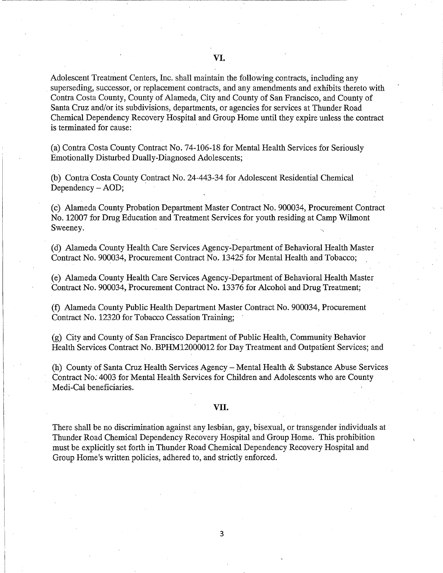Adolescent Treatment Centers, Inc. shall maintain the following contracts, including any superseding, successor, or replacement contracts, and any amendments and exhibits thereto with Contra Costa County, County of Alameda, City and County of San Francisco, and County of Santa Cruz and/or its subdivisions, departments, or agencies for services at Thunder Road Chemical Dependency Recovery Hospital and Group Home until they expire unless the contract is terminated for cause:

(a) Contra Costa County Contract No. 74-106-18 for Mental Health Services for Seriously Emotionally Disturbed Dually-Diagnosed Adolescents;

(b) Contra Costa County Contract No. 24-443-34 for Adolescent Residential Chemical Dependency - AOD;

(c) Alameda County Probation Department Master Contract No. 900034, Procurement Contract No. 12007 for Drug Education and Treatment Services for youth residing at Camp Wilmont Sweeney.

(d) Alameda County Health Care Services Agency-Department of Behavioral Health Master Contract No. 900034, Procurement Contract No. 13425 for Mental Health and Tobacco;

(e) Alameda County Health Care Services Agency-Department of Behavioral Health Master Contract No. 900034, Procurement Contract No. 13376 for Alcohol and Drug Treatment;

(f) Alameda County Public Health Department Master Contract No. 900034, Procurement Contract No. 12320 for Tobacco Cessation Training;

(g) City and County of San Francisco Department of Public Health, Community Behavior Health Services Contract No. BPHM12000012 for Day Treatment and Outpatient Services; and

(h) County of Santa Cruz Health Services Agency-Mental Health & Substance Abuse Services Contract No: 4003 for Mental Health Services for Children and Adolescents who are County Medi-Cal beneficiaries.

#### VII.

There shall be no discrimination against any lesbian, gay, bisexual, or transgender individuals at Thunder Road Chemical Dependency Recovery Hospital and Group Home. This prohibition must be explicitly set forth in Thunder Road Chemical Dependency Recovery Hospital and Group Home's written policies, adhered to, and strictly enforced.

3